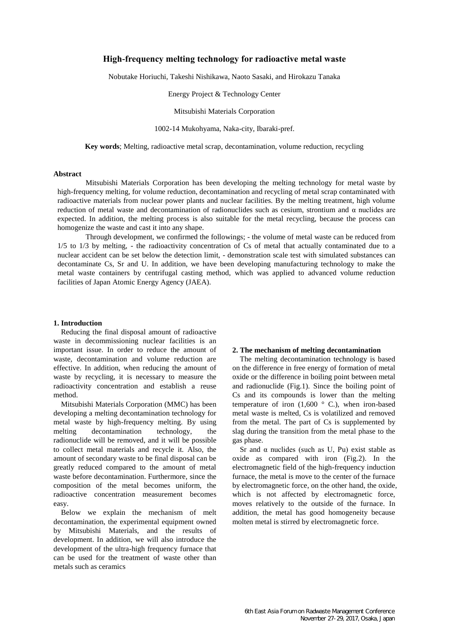# **High-frequency melting technology for radioactive metal waste**

Nobutake Horiuchi, Takeshi Nishikawa, Naoto Sasaki, and Hirokazu Tanaka

Energy Project & Technology Center

Mitsubishi Materials Corporation

1002-14 Mukohyama, Naka-city, Ibaraki-pref.

**Key words**; Melting, radioactive metal scrap, decontamination, volume reduction, recycling

#### **Abstract**

Mitsubishi Materials Corporation has been developing the melting technology for metal waste by high-frequency melting, for volume reduction, decontamination and recycling of metal scrap contaminated with radioactive materials from nuclear power plants and nuclear facilities. By the melting treatment, high volume reduction of metal waste and decontamination of radionuclides such as cesium, strontium and α nuclides are expected. In addition, the melting process is also suitable for the metal recycling, because the process can homogenize the waste and cast it into any shape.

Through development, we confirmed the followings; - the volume of metal waste can be reduced from 1/5 to 1/3 by melting, - the radioactivity concentration of Cs of metal that actually contaminated due to a nuclear accident can be set below the detection limit, - demonstration scale test with simulated substances can decontaminate Cs, Sr and U. In addition, we have been developing manufacturing technology to make the metal waste containers by centrifugal casting method, which was applied to advanced volume reduction facilities of Japan Atomic Energy Agency (JAEA).

#### **1. Introduction**

Reducing the final disposal amount of radioactive waste in decommissioning nuclear facilities is an important issue. In order to reduce the amount of waste, decontamination and volume reduction are effective. In addition, when reducing the amount of waste by recycling, it is necessary to measure the radioactivity concentration and establish a reuse method.

Mitsubishi Materials Corporation (MMC) has been developing a melting decontamination technology for metal waste by high-frequency melting. By using melting decontamination technology, the radionuclide will be removed, and it will be possible to collect metal materials and recycle it. Also, the amount of secondary waste to be final disposal can be greatly reduced compared to the amount of metal waste before decontamination. Furthermore, since the composition of the metal becomes uniform, the radioactive concentration measurement becomes easy.

Below we explain the mechanism of melt decontamination, the experimental equipment owned by Mitsubishi Materials, and the results of development. In addition, we will also introduce the development of the ultra-high frequency furnace that can be used for the treatment of waste other than metals such as ceramics

### **2. The mechanism of melting decontamination**

The melting decontamination technology is based on the difference in free energy of formation of metal oxide or the difference in boiling point between metal and radionuclide (Fig.1). Since the boiling point of Cs and its compounds is lower than the melting temperature of iron  $(1,600 \degree C)$ , when iron-based metal waste is melted, Cs is volatilized and removed from the metal. The part of Cs is supplemented by slag during the transition from the metal phase to the gas phase.

Sr and  $\alpha$  nuclides (such as U, Pu) exist stable as oxide as compared with iron (Fig.2). In the electromagnetic field of the high-frequency induction furnace, the metal is move to the center of the furnace by electromagnetic force, on the other hand, the oxide, which is not affected by electromagnetic force, moves relatively to the outside of the furnace. In addition, the metal has good homogeneity because molten metal is stirred by electromagnetic force.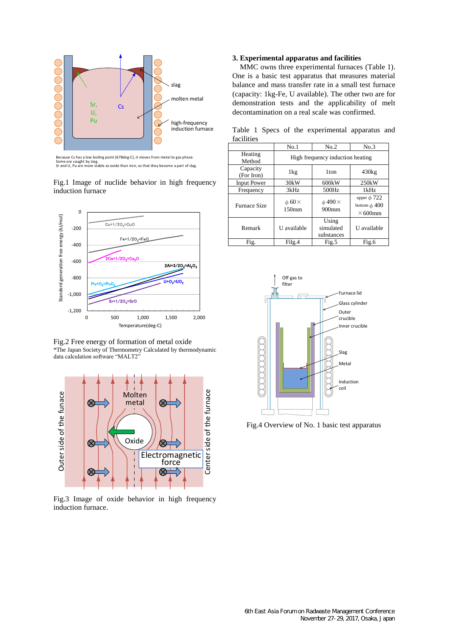

Because Cs has a low boiling point (678deg-C), it moves from metal to gas phase. Some are caught by slag. Sr and U, Pu are more stable as oxide than iron, so that they become a part of slag.

Fig.1 Image of nuclide behavior in high frequency induction furnace



Fig.2 Free energy of formation of metal oxide \*The Japan Society of Thermometry Calculated by thermodynamic data calculation software "MALT2"



Fig.3 Image of oxide behavior in high frequency induction furnace.

## **3. Experimental apparatus and facilities**

facilities

MMC owns three experimental furnaces (Table 1). One is a basic test apparatus that measures material balance and mass transfer rate in a small test furnace (capacity: 1kg-Fe, U available). The other two are for demonstration tests and the applicability of melt decontamination on a real scale was confirmed.

Table 1 Specs of the experimental apparatus and

|                        | No.1                                    | No.2                             | No.3                                                    |
|------------------------|-----------------------------------------|----------------------------------|---------------------------------------------------------|
| Heating<br>Method      | High frequency induction heating        |                                  |                                                         |
| Capacity<br>(For Iron) | 1kg                                     | 1 <sub>ton</sub>                 | 430kg                                                   |
| <b>Input Power</b>     | 30kW                                    | 600kW                            | 250kW                                                   |
| Frequency              | 3kHz                                    | 500Hz                            | 1kHz                                                    |
| <b>Furnace Size</b>    | $\phi$ 60 $\times$<br>150 <sub>mm</sub> | $\phi$ 490 $\times$<br>$900$ mm  | upper $\phi$ 722<br>bottom $\phi$ 400<br>$\times$ 600mm |
| Remark                 | U available                             | Using<br>simulated<br>substances | U available                                             |
| Fig.                   | Filg.4                                  | Fig.5                            | Fig.6                                                   |



Fig.4 Overview of No. 1 basic test apparatus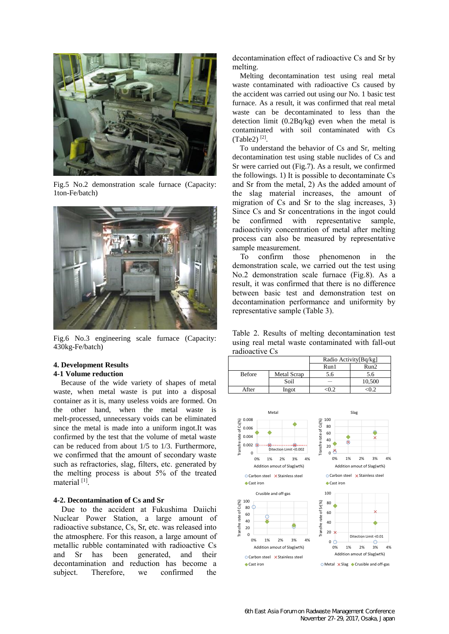

Fig.5 No.2 demonstration scale furnace (Capacity: 1ton-Fe/batch)



Fig.6 No.3 engineering scale furnace (Capacity: 430kg-Fe/batch)

### **4. Development Results**

# **4-1 Volume reduction**

Because of the wide variety of shapes of metal waste, when metal waste is put into a disposal container as it is, many useless voids are formed. On the other hand, when the metal waste is melt-processed, unnecessary voids can be eliminated since the metal is made into a uniform ingot.It was confirmed by the test that the volume of metal waste can be reduced from about 1/5 to 1/3. Furthermore, we confirmed that the amount of secondary waste such as refractories, slag, filters, etc. generated by the melting process is about 5% of the treated material [1].

# **4-2. Decontamination of Cs and Sr**

Due to the accident at Fukushima Daiichi Nuclear Power Station, a large amount of radioactive substance, Cs, Sr, etc. was released into the atmosphere. For this reason, a large amount of metallic rubble contaminated with radioactive Cs and Sr has been generated, and their decontamination and reduction has become a subject. Therefore, we confirmed the

decontamination effect of radioactive Cs and Sr by melting.

Melting decontamination test using real metal waste contaminated with radioactive Cs caused by the accident was carried out using our No. 1 basic test furnace. As a result, it was confirmed that real metal waste can be decontaminated to less than the detection limit (0.2Bq/kg) even when the metal is contaminated with soil contaminated with Cs  $(Table2)^{[2]}$ .

To understand the behavior of Cs and Sr, melting decontamination test using stable nuclides of Cs and Sr were carried out (Fig.7). As a result, we confirmed the followings. 1) It is possible to decontaminate Cs and Sr from the metal, 2) As the added amount of the slag material increases, the amount of migration of Cs and Sr to the slag increases, 3) Since Cs and Sr concentrations in the ingot could be confirmed with representative sample, radioactivity concentration of metal after melting process can also be measured by representative sample measurement.

To confirm those phenomenon in the demonstration scale, we carried out the test using No.2 demonstration scale furnace (Fig.8). As a result, it was confirmed that there is no difference between basic test and demonstration test on decontamination performance and uniformity by representative sample (Table 3).

Table 2. Results of melting decontamination test using real metal waste contaminated with fall-out radioactive Cs

|               |             | Radio Activity[Bq/kg] |        |
|---------------|-------------|-----------------------|--------|
|               |             | Run1                  | Run2   |
| <b>Before</b> | Metal Scrap | 5.6                   | 5.6    |
|               | Soil        |                       | 10,500 |
| After         | Ingot       |                       |        |

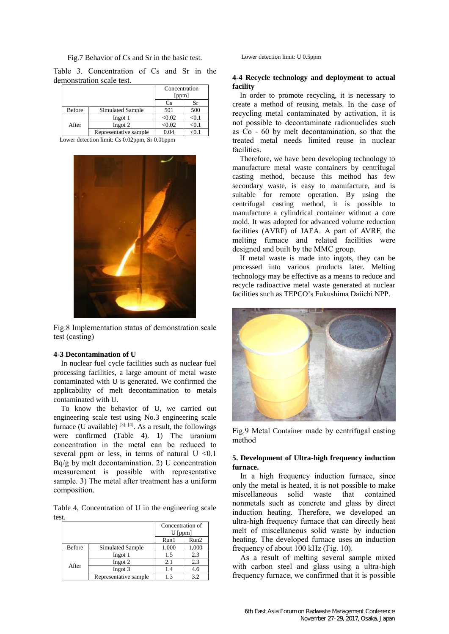#### Fig.7 Behavior of Cs and Sr in the basic test.

Table 3. Concentration of Cs and Sr in the demonstration scale test.

|               |                       | Concentration<br>ppm |      |
|---------------|-----------------------|----------------------|------|
|               |                       | Сs                   |      |
| <b>Before</b> | Simulated Sample      | 501                  | 500  |
|               | Ingot 1               | < 0.02               | <∪.1 |
| After         | Ingot 2               | < 0.02               | <0.1 |
|               | Representative sample | 04                   |      |

Lower detection limit: Cs 0.02ppm, Sr 0.01ppm



Fig.8 Implementation status of demonstration scale test (casting)

#### **4-3 Decontamination of U**

In nuclear fuel cycle facilities such as nuclear fuel processing facilities, a large amount of metal waste contaminated with U is generated. We confirmed the applicability of melt decontamination to metals contaminated with U.

To know the behavior of U, we carried out engineering scale test using No.3 engineering scale furnace (U available)  $^{[3], [4]}$ . As a result, the followings were confirmed (Table 4). 1) The uranium concentration in the metal can be reduced to several ppm or less, in terms of natural  $U \le 0.1$ Bq/g by melt decontamination. 2) U concentration measurement is possible with representative sample. 3) The metal after treatment has a uniform composition.

Table 4, Concentration of U in the engineering scale test.

|               |                       | Concentration of<br>[ppm] |       |
|---------------|-----------------------|---------------------------|-------|
|               |                       | Run1                      | Run2  |
| <b>Before</b> | Simulated Sample      | 1,000                     | 1,000 |
| After         | Ingot 1               | 1.5                       | 2.3   |
|               | Ingot 2               | 2.1                       | 2.3   |
|               | Ingot 3               | 1.4                       | 4.6   |
|               | Representative sample | 13                        | 32    |

Lower detection limit: U 0.5ppm

# **4-4 Recycle technology and deployment to actual facility**

In order to promote recycling, it is necessary to create a method of reusing metals. In the case of recycling metal contaminated by activation, it is not possible to decontaminate radionuclides such as Co - 60 by melt decontamination, so that the treated metal needs limited reuse in nuclear facilities.

Therefore, we have been developing technology to manufacture metal waste containers by centrifugal casting method, because this method has few secondary waste, is easy to manufacture, and is suitable for remote operation. By using the centrifugal casting method, it is possible to manufacture a cylindrical container without a core mold. It was adopted for advanced volume reduction facilities (AVRF) of JAEA. A part of AVRF, the melting furnace and related facilities were designed and built by the MMC group.

If metal waste is made into ingots, they can be processed into various products later. Melting technology may be effective as a means to reduce and recycle radioactive metal waste generated at nuclear facilities such as TEPCO's Fukushima Daiichi NPP.



Fig.9 Metal Container made by centrifugal casting method

## **5. Development of Ultra-high frequency induction furnace.**

In a high frequency induction furnace, since only the metal is heated, it is not possible to make miscellaneous solid waste that contained nonmetals such as concrete and glass by direct induction heating. Therefore, we developed an ultra-high frequency furnace that can directly heat melt of miscellaneous solid waste by induction heating. The developed furnace uses an induction frequency of about 100 kHz (Fig. 10).

As a result of melting several sample mixed with carbon steel and glass using a ultra-high frequency furnace, we confirmed that it is possible